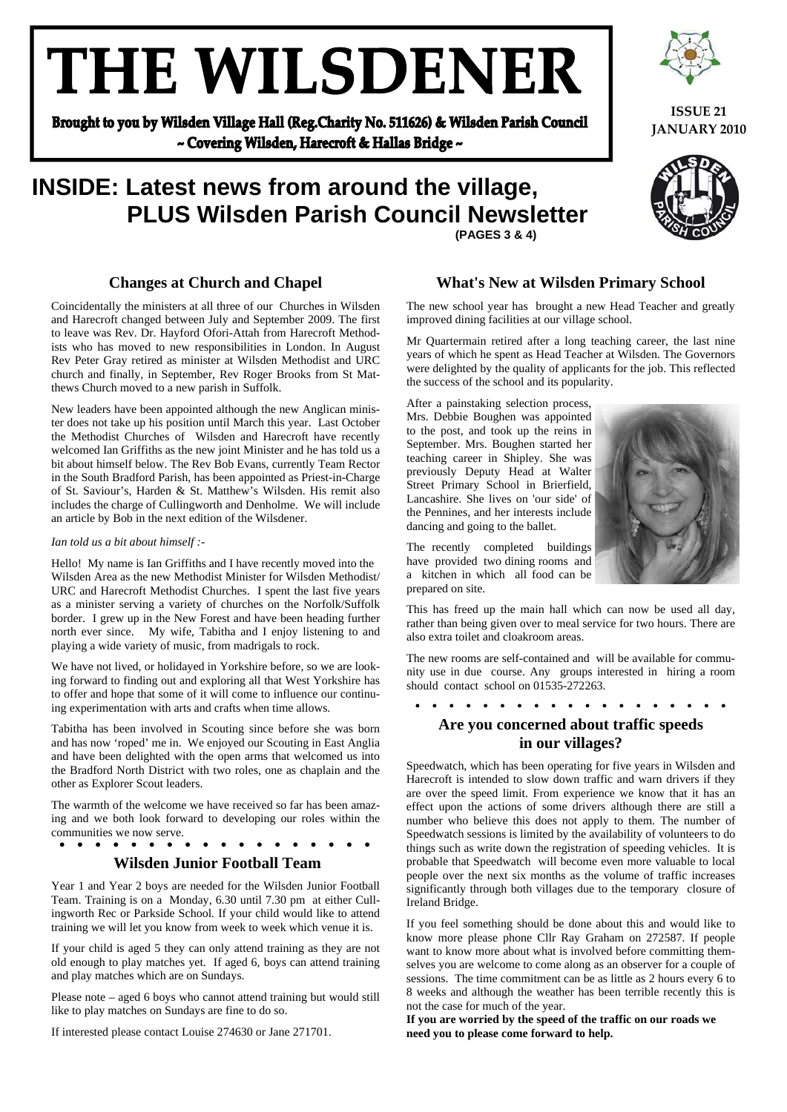# THE WILSDENER

Brought to you by Wilsden Village Hall (Reg.Charity No. 511626) & Wilsden Parish Council ~ Covering Wilsden, Harecroft & Hallas Bridge ~

### **INSIDE: Latest news from around the village, PLUS Wilsden Parish Council Newsletter (PAGES 3 & 4)**

#### **Changes at Church and Chapel**

Coincidentally the ministers at all three of our Churches in Wilsden and Harecroft changed between July and September 2009. The first to leave was Rev. Dr. Hayford Ofori-Attah from Harecroft Methodists who has moved to new responsibilities in London. In August Rev Peter Gray retired as minister at Wilsden Methodist and URC church and finally, in September, Rev Roger Brooks from St Matthews Church moved to a new parish in Suffolk.

New leaders have been appointed although the new Anglican minister does not take up his position until March this year. Last October the Methodist Churches of Wilsden and Harecroft have recently welcomed Ian Griffiths as the new joint Minister and he has told us a bit about himself below. The Rev Bob Evans, currently Team Rector in the South Bradford Parish, has been appointed as Priest-in-Charge of St. Saviour's, Harden & St. Matthew's Wilsden. His remit also includes the charge of Cullingworth and Denholme. We will include an article by Bob in the next edition of the Wilsdener.

#### *Ian told us a bit about himself :-*

Hello! My name is Ian Griffiths and I have recently moved into the Wilsden Area as the new Methodist Minister for Wilsden Methodist/ URC and Harecroft Methodist Churches. I spent the last five years as a minister serving a variety of churches on the Norfolk/Suffolk border. I grew up in the New Forest and have been heading further north ever since. My wife, Tabitha and I enjoy listening to and playing a wide variety of music, from madrigals to rock.

We have not lived, or holidayed in Yorkshire before, so we are looking forward to finding out and exploring all that West Yorkshire has to offer and hope that some of it will come to influence our continuing experimentation with arts and crafts when time allows.

Tabitha has been involved in Scouting since before she was born and has now 'roped' me in. We enjoyed our Scouting in East Anglia and have been delighted with the open arms that welcomed us into the Bradford North District with two roles, one as chaplain and the other as Explorer Scout leaders.

The warmth of the welcome we have received so far has been amazing and we both look forward to developing our roles within the communities we now serve.

#### $\begin{array}{ccccccccccccccccc}\n&\mathbf{a} & \mathbf{a} & \mathbf{a} & \mathbf{a} & \mathbf{a} & \mathbf{a}\n\end{array}$  $\bullet\quad\bullet\quad\bullet\quad\bullet\quad\bullet\quad\bullet$

#### **Wilsden Junior Football Team**

Year 1 and Year 2 boys are needed for the Wilsden Junior Football Team. Training is on a Monday, 6.30 until 7.30 pm at either Cullingworth Rec or Parkside School. If your child would like to attend training we will let you know from week to week which venue it is.

If your child is aged 5 they can only attend training as they are not old enough to play matches yet. If aged 6, boys can attend training and play matches which are on Sundays.

Please note – aged 6 boys who cannot attend training but would still like to play matches on Sundays are fine to do so.

If interested please contact Louise 274630 or Jane 271701.

#### **What's New at Wilsden Primary School**

The new school year has brought a new Head Teacher and greatly improved dining facilities at our village school.

Mr Quartermain retired after a long teaching career, the last nine years of which he spent as Head Teacher at Wilsden. The Governors were delighted by the quality of applicants for the job. This reflected the success of the school and its popularity.

After a painstaking selection process, Mrs. Debbie Boughen was appointed to the post, and took up the reins in September. Mrs. Boughen started her teaching career in Shipley. She was previously Deputy Head at Walter Street Primary School in Brierfield, Lancashire. She lives on 'our side' of the Pennines, and her interests include dancing and going to the ballet.



The recently completed buildings have provided two dining rooms and a kitchen in which all food can be prepared on site.

This has freed up the main hall which can now be used all day, rather than being given over to meal service for two hours. There are also extra toilet and cloakroom areas.

The new rooms are self-contained and will be available for community use in due course. Any groups interested in hiring a room should contact school on 01535-272263.

. . . . . . . . . . . . . . . .

#### **Are you concerned about traffic speeds in our villages?**

Speedwatch, which has been operating for five years in Wilsden and Harecroft is intended to slow down traffic and warn drivers if they are over the speed limit. From experience we know that it has an effect upon the actions of some drivers although there are still a number who believe this does not apply to them. The number of Speedwatch sessions is limited by the availability of volunteers to do things such as write down the registration of speeding vehicles. It is probable that Speedwatch will become even more valuable to local people over the next six months as the volume of traffic increases significantly through both villages due to the temporary closure of Ireland Bridge.

If you feel something should be done about this and would like to know more please phone Cllr Ray Graham on 272587. If people want to know more about what is involved before committing themselves you are welcome to come along as an observer for a couple of sessions. The time commitment can be as little as 2 hours every 6 to 8 weeks and although the weather has been terrible recently this is not the case for much of the year.

**If you are worried by the speed of the traffic on our roads we need you to please come forward to help.** 



**ISSUE 21 JANUARY 2010**

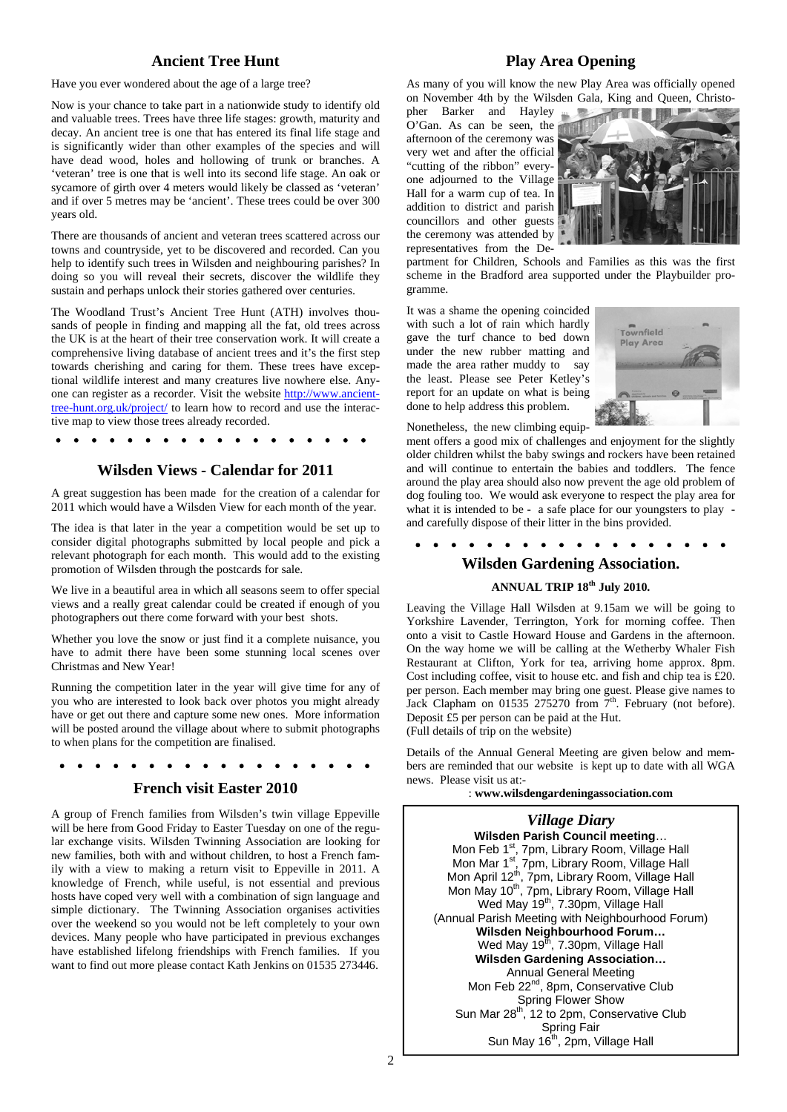#### **Ancient Tree Hunt**

Have you ever wondered about the age of a large tree?

Now is your chance to take part in a nationwide study to identify old and valuable trees. Trees have three life stages: growth, maturity and decay. An ancient tree is one that has entered its final life stage and is significantly wider than other examples of the species and will have dead wood, holes and hollowing of trunk or branches. A 'veteran' tree is one that is well into its second life stage. An oak or sycamore of girth over 4 meters would likely be classed as 'veteran' and if over 5 metres may be 'ancient'. These trees could be over 300 years old.

There are thousands of ancient and veteran trees scattered across our towns and countryside, yet to be discovered and recorded. Can you help to identify such trees in Wilsden and neighbouring parishes? In doing so you will reveal their secrets, discover the wildlife they sustain and perhaps unlock their stories gathered over centuries.

The Woodland Trust's Ancient Tree Hunt (ATH) involves thousands of people in finding and mapping all the fat, old trees across the UK is at the heart of their tree conservation work. It will create a comprehensive living database of ancient trees and it's the first step towards cherishing and caring for them. These trees have exceptional wildlife interest and many creatures live nowhere else. Anyone can register as a recorder. Visit the website http://www.ancienttree-hunt.org.uk/project/ to learn how to record and use the interactive map to view those trees already recorded.

#### **Wilsden Views - Calendar for 2011**

A great suggestion has been made for the creation of a calendar for 2011 which would have a Wilsden View for each month of the year.

The idea is that later in the year a competition would be set up to consider digital photographs submitted by local people and pick a relevant photograph for each month. This would add to the existing promotion of Wilsden through the postcards for sale.

We live in a beautiful area in which all seasons seem to offer special views and a really great calendar could be created if enough of you photographers out there come forward with your best shots.

Whether you love the snow or just find it a complete nuisance, you have to admit there have been some stunning local scenes over Christmas and New Year!

Running the competition later in the year will give time for any of you who are interested to look back over photos you might already have or get out there and capture some new ones. More information will be posted around the village about where to submit photographs to when plans for the competition are finalised.

#### . . . . . . . .

#### **French visit Easter 2010**

A group of French families from Wilsden's twin village Eppeville will be here from Good Friday to Easter Tuesday on one of the regular exchange visits. Wilsden Twinning Association are looking for new families, both with and without children, to host a French family with a view to making a return visit to Eppeville in 2011. A knowledge of French, while useful, is not essential and previous hosts have coped very well with a combination of sign language and simple dictionary. The Twinning Association organises activities over the weekend so you would not be left completely to your own devices. Many people who have participated in previous exchanges have established lifelong friendships with French families. If you want to find out more please contact Kath Jenkins on 01535 273446.

#### **Play Area Opening**

As many of you will know the new Play Area was officially opened on November 4th by the Wilsden Gala, King and Queen, Christo-

pher Barker and Hayley O'Gan. As can be seen, the afternoon of the ceremony was very wet and after the official "cutting of the ribbon" everyone adjourned to the Village Hall for a warm cup of tea. In addition to district and parish councillors and other guests the ceremony was attended by representatives from the De-



partment for Children, Schools and Families as this was the first scheme in the Bradford area supported under the Playbuilder programme.

It was a shame the opening coincided with such a lot of rain which hardly gave the turf chance to bed down under the new rubber matting and made the area rather muddy to say the least. Please see Peter Ketley's report for an update on what is being done to help address this problem.



Nonetheless, the new climbing equip-

ment offers a good mix of challenges and enjoyment for the slightly older children whilst the baby swings and rockers have been retained and will continue to entertain the babies and toddlers. The fence around the play area should also now prevent the age old problem of dog fouling too. We would ask everyone to respect the play area for what it is intended to be - a safe place for our youngsters to play and carefully dispose of their litter in the bins provided.

 $\bullet\qquad\bullet\qquad$  $\bullet$  $\bullet\quad\bullet\quad\bullet\quad\bullet$ 

#### **Wilsden Gardening Association.**

#### **ANNUAL TRIP 18th July 2010.**

Leaving the Village Hall Wilsden at 9.15am we will be going to Yorkshire Lavender, Terrington, York for morning coffee. Then onto a visit to Castle Howard House and Gardens in the afternoon. On the way home we will be calling at the Wetherby Whaler Fish Restaurant at Clifton, York for tea, arriving home approx. 8pm. Cost including coffee, visit to house etc. and fish and chip tea is  $\hat{\pounds}20$ . per person. Each member may bring one guest. Please give names to Jack Clapham on 01535 275270 from  $7<sup>th</sup>$ . February (not before). Deposit £5 per person can be paid at the Hut. (Full details of trip on the website)

Details of the Annual General Meeting are given below and members are reminded that our website is kept up to date with all WGA news. Please visit us at:-

: **www.wilsdengardeningassociation.com** 

*Village Diary*  **Wilsden Parish Council meeting**… Mon Feb 1<sup>st</sup>, 7pm, Library Room, Village Hall Mon Mar 1<sup>st</sup>, 7pm, Library Room, Village Hall Mon April 12<sup>th</sup>, 7pm, Library Room, Village Hall Mon May 10<sup>th</sup>, 7pm, Library Room, Village Hall Wed May 19<sup>th</sup>, 7.30pm, Village Hall (Annual Parish Meeting with Neighbourhood Forum) **Wilsden Neighbourhood Forum…**  Wed May  $19<sup>th</sup>$ , 7.30pm, Village Hall **Wilsden Gardening Association…**  Annual General Meeting Mon Feb 22<sup>nd</sup>, 8pm, Conservative Club Spring Flower Show Sun Mar 28th, 12 to 2pm, Conservative Club Spring Fair Sun May 16<sup>th</sup>, 2pm, Village Hall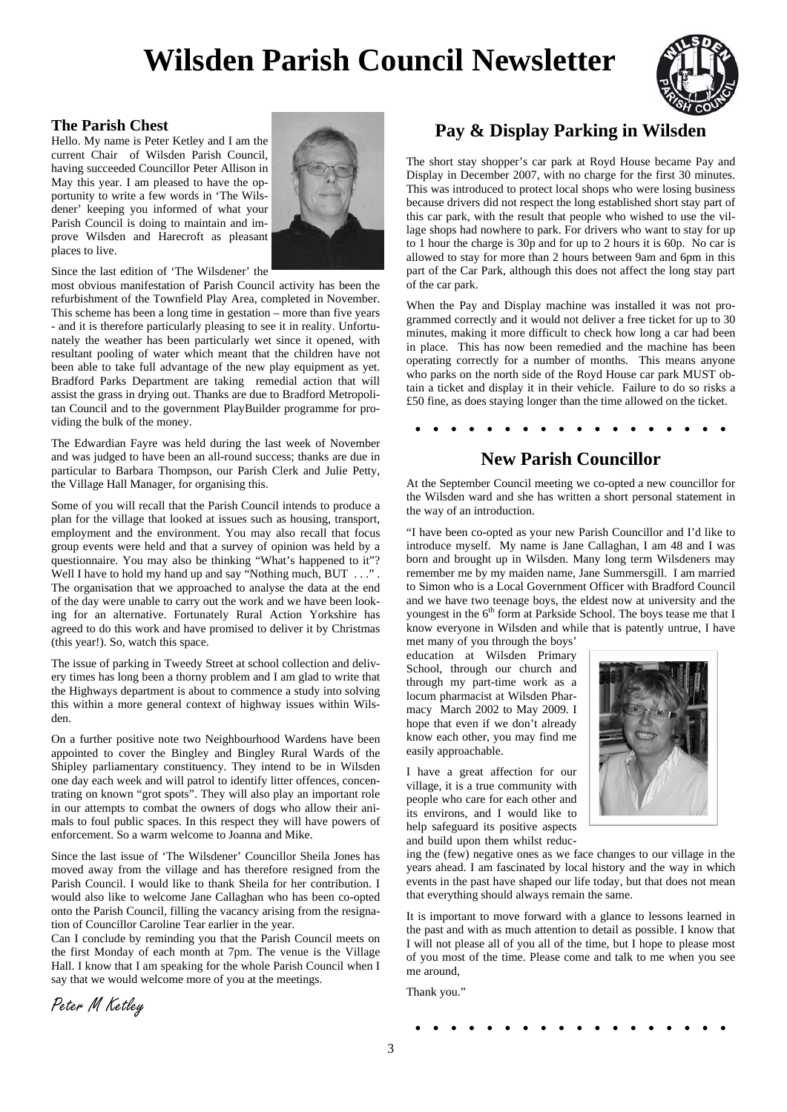## **Wilsden Parish Council Newsletter**



#### **The Parish Chest**

Hello. My name is Peter Ketley and I am the current Chair of Wilsden Parish Council, having succeeded Councillor Peter Allison in May this year. I am pleased to have the opportunity to write a few words in 'The Wilsdener' keeping you informed of what your Parish Council is doing to maintain and improve Wilsden and Harecroft as pleasant places to live.



Since the last edition of 'The Wilsdener' the

most obvious manifestation of Parish Council activity has been the refurbishment of the Townfield Play Area, completed in November. This scheme has been a long time in gestation – more than five years - and it is therefore particularly pleasing to see it in reality. Unfortunately the weather has been particularly wet since it opened, with resultant pooling of water which meant that the children have not been able to take full advantage of the new play equipment as yet. Bradford Parks Department are taking remedial action that will assist the grass in drying out. Thanks are due to Bradford Metropolitan Council and to the government PlayBuilder programme for providing the bulk of the money.

The Edwardian Fayre was held during the last week of November and was judged to have been an all-round success; thanks are due in particular to Barbara Thompson, our Parish Clerk and Julie Petty, the Village Hall Manager, for organising this.

Some of you will recall that the Parish Council intends to produce a plan for the village that looked at issues such as housing, transport, employment and the environment. You may also recall that focus group events were held and that a survey of opinion was held by a questionnaire. You may also be thinking "What's happened to it"? Well I have to hold my hand up and say "Nothing much, BUT . . ." The organisation that we approached to analyse the data at the end of the day were unable to carry out the work and we have been looking for an alternative. Fortunately Rural Action Yorkshire has agreed to do this work and have promised to deliver it by Christmas (this year!). So, watch this space.

The issue of parking in Tweedy Street at school collection and delivery times has long been a thorny problem and I am glad to write that the Highways department is about to commence a study into solving this within a more general context of highway issues within Wilsden.

On a further positive note two Neighbourhood Wardens have been appointed to cover the Bingley and Bingley Rural Wards of the Shipley parliamentary constituency. They intend to be in Wilsden one day each week and will patrol to identify litter offences, concentrating on known "grot spots". They will also play an important role in our attempts to combat the owners of dogs who allow their animals to foul public spaces. In this respect they will have powers of enforcement. So a warm welcome to Joanna and Mike.

Since the last issue of 'The Wilsdener' Councillor Sheila Jones has moved away from the village and has therefore resigned from the Parish Council. I would like to thank Sheila for her contribution. I would also like to welcome Jane Callaghan who has been co-opted onto the Parish Council, filling the vacancy arising from the resignation of Councillor Caroline Tear earlier in the year.

Can I conclude by reminding you that the Parish Council meets on the first Monday of each month at 7pm. The venue is the Village Hall. I know that I am speaking for the whole Parish Council when I say that we would welcome more of you at the meetings.

**Pay & Display Parking in Wilsden**

The short stay shopper's car park at Royd House became Pay and Display in December 2007, with no charge for the first 30 minutes. This was introduced to protect local shops who were losing business because drivers did not respect the long established short stay part of this car park, with the result that people who wished to use the village shops had nowhere to park. For drivers who want to stay for up to 1 hour the charge is 30p and for up to 2 hours it is 60p. No car is allowed to stay for more than 2 hours between 9am and 6pm in this part of the Car Park, although this does not affect the long stay part of the car park.

When the Pay and Display machine was installed it was not programmed correctly and it would not deliver a free ticket for up to 30 minutes, making it more difficult to check how long a car had been in place. This has now been remedied and the machine has been operating correctly for a number of months. This means anyone who parks on the north side of the Royd House car park MUST obtain a ticket and display it in their vehicle. Failure to do so risks a £50 fine, as does staying longer than the time allowed on the ticket.

## **New Parish Councillor**

. . . . . . . . . . . . .

At the September Council meeting we co-opted a new councillor for the Wilsden ward and she has written a short personal statement in the way of an introduction.

"I have been co-opted as your new Parish Councillor and I'd like to introduce myself. My name is Jane Callaghan, I am 48 and I was born and brought up in Wilsden. Many long term Wilsdeners may remember me by my maiden name, Jane Summersgill. I am married to Simon who is a Local Government Officer with Bradford Council and we have two teenage boys, the eldest now at university and the youngest in the 6<sup>th</sup> form at Parkside School. The boys tease me that I know everyone in Wilsden and while that is patently untrue, I have

met many of you through the boys' education at Wilsden Primary School, through our church and through my part-time work as a locum pharmacist at Wilsden Pharmacy March 2002 to May 2009. I hope that even if we don't already know each other, you may find me easily approachable.

I have a great affection for our village, it is a true community with people who care for each other and its environs, and I would like to help safeguard its positive aspects and build upon them whilst reduc-



ing the (few) negative ones as we face changes to our village in the years ahead. I am fascinated by local history and the way in which events in the past have shaped our life today, but that does not mean that everything should always remain the same.

It is important to move forward with a glance to lessons learned in the past and with as much attention to detail as possible. I know that I will not please all of you all of the time, but I hope to please most of you most of the time. Please come and talk to me when you see me around,

Thank you."

Peter M Ketley